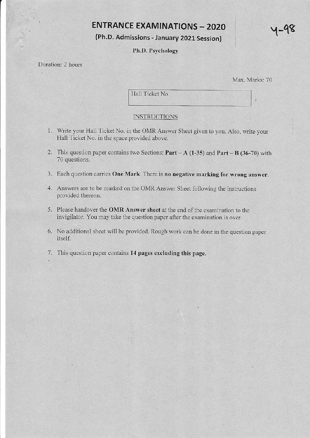# **ENTRANCE EXAMINATIONS - 2020**

(Ph.D, Admissions - January 2021 Session)

## Ph.D. Psychology

## Duration: 2 hours

Max. Marks: 70

 $y - y$ 

Hall Ticket No.

### INSTRUCTIONS

- 1. Write your Hall Ticket No. in the OMR Answer Sheet given to you. Also, write your Hall Ticket No. in the space provided above.
- 2. This question paper contains two Sections:  $Part A (1-35)$  and  $Part B (36-70)$  with 70 questions.
- 3. Each question carries One Mark. There is no negative marking for wrong answer.
- 4. Answers are to be marked on the OMR Answer Sheet following the instructions provided thereon.
- 5. Please handover the OMR Answer sheet at the end of the examination to the invigilator. You may take the question paper after the examination is over.
- 6. No additional sheet will be provided. Rough work can be done in the question paper itself.
- 7. This question paper contains 14 pages excluding this page.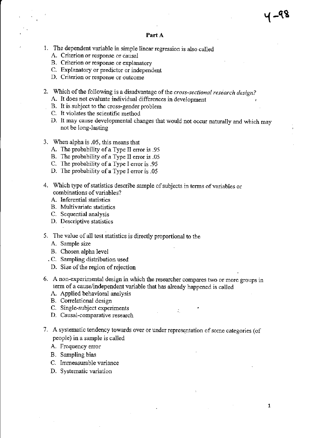- 1. The dependent variable in simple linear regression is also called
	- A. Criterion or response or causal
	- B. Criterion or response or explanalory
	- C. Explanatory or predictor or independent
	- D. Criterion or rcsponse or outcome
- 2. Which of the following is a disadvantage of the cross-sectional research design?
	- A. It does not evaluate individual differences in development
	- B. It is subject to the cross-gender problem
	- C. It violates the scientific method
	- D. It may cause developmental changes that would not occur naturally and which may not be long-lasting
- 3. When alpha is.05, this means that
	- A. The probability of a Type II error is .95
	- B. The probability of a Type II error is .05
	- C. The probability of a Type I error is .95
	- D. The probability of a Type I error is .05
- 4. Which type of statistics describe sample of subjects in terms of variables or combinations of variables?
	- A. Inferential statistics
	- B. Multivariate statistics
	- C. Sequential analysis
	- D. Descriptive statistics
- 5. The value of all test statistics is directly proportional to the
	- A. Sample size
	- B. Chosen alpha level
	- .C. Sampling distribution used
	- D. Size of the region of rejection
- 6. A non-experimental design in which the researcher compares two or mote groups in term of a cause/independent variable that has already happened is called
	- A. Applied behavioral analysis
	- B. Correlational design
	- C. Single-subject experiments
	- D. Causal-comparative research
- 7. A systematic tendency towards over or under representation of some categories (of people) in a sample is called
	- A. Frequency error
	- B. Sampling bias
	- C. Immeasurable variance
	- D. Systematic variation

y -98<br>"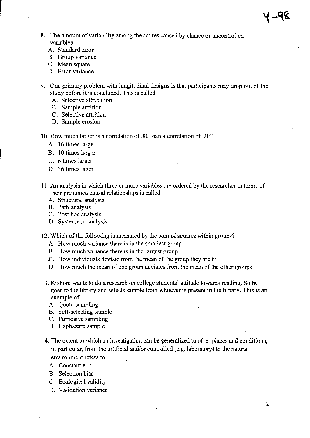- 8. The amount of variability among the scores caused by chance or uncontrolled variables
	- A. Standard error
	- B. Group variance
	- C. Mean square
	- D. Error variance
- 9. One primary problem with longitudinal designs is that participants may drop out of the study before it is concluded. This is called
	- A. Selective attribution
	- B. Sample attrition
	- C. Selective attrition
	- D. Sample erosion
- 10. How much larger is a correlation of.80 than a correlation of.20?
	- A. l6 times larger
	- B. 10 times larger
	- C. 6 times larger
	- D. 36 times lager
- 11. An analysis in which three or more variables are ordered by the researcher in lerms of their presumed causal relationships is called
	- A. Structural analysis
	- B. Path analysis
	- C. Post hoc analysis
	- D. Systematic analysis
- 12. Which of the following is measured by the sum of squares within groups?
	- A. How much variance there is in the smallest group
	- B. How much variance there is in the largest group
	- C. How individuals deviate from the mean of the group they are in
	- D. How much the mean of one group deviates from the mean of the other groups
- 13. Kishore wants to do a research on college students' attitude towards reading. So he goes to the library and selects sample from whoever is present in the library. This is an example of
	- A. Quota sampling
	- B. SeJf-selecting sample
	- C. Purposive sampling
	- D. Haphazard sample
- 14. The extent to which an investigation can be generalized to other places and conditions, in particular, from the artificial and/or controlled (e.g. laboratory) to the natural environment refers to
	- A. Constant error
	- B. Selection bias
	- C. Ecological validity
	- D. Validation variance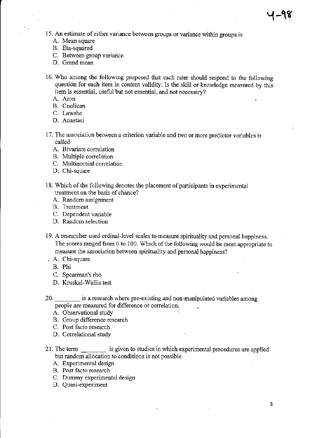15. An estimate of either variance between groups or variance within groups is

- A. Mean square
- B. Eta-squared
- C. Between group variance
- D. Grand mean
- 16. Who among the following proposed that each rater should respond to the following questidn for each item in content validity: Is the skill or knowledge measured by this item is essential, useful but not essential, and not necessary?
	- A. Aron
	- B. Coolican
	- C. Lawshe
	- D. Anastasi
- 17. The association between a criterion variable and two or more predictor variables is called
	- A. Bivariate correlation
	- B. Multiple conelation
	- C. Multinomial correlation
	- D. Chi-square
- 18. Which of the following denotes the placement of participants in experimental treatment on the basis of chance?
	- A. Random assignment
	- B. Treatment
	- C. Dependent variable
	- D. Random selection
- 19. A researcher used ordinal-level scales to measure spirituality and personal happiness. The scores ranged from 0 to 100. Which of the following would be most appropriate to measure the association between spirituality and personal happiness?
- A. Chi-square
	- B. Phi
	- C. Speaman's rho
	- D. Kruskal-Wallis test
- 20. is a research where pre-existing and non-manipulated variables among people are measured for difference or conelation.
	- A. Observational study
	- B. Group difference research
	- C. Post facto research
	- D. Correlational study
- 21. The term \_\_\_\_\_\_\_\_\_ is given to studies in which experimental procedures are applied but random allocation to conditions is not possible
	- A. Experimental design
	- B. Post facto research
	- C. Dummy experimental design
	- D. Quasi-experiment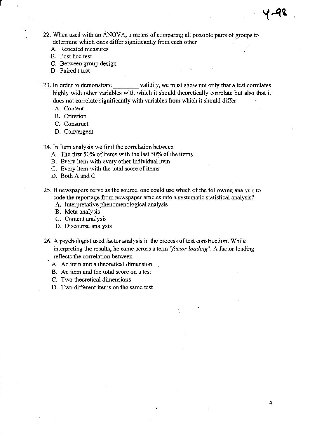4

- 22. When used with an ANOVA, a means of comparing all possible pairs of groups to determine which ones differ significandy fiom each other
	- A. Repeated measures
	- B. Post hoc test
	- C. Between group design
	- D. Paired t test
- 23. In order to demonstrate validity, we must show not only that a test correlates higbly with other variables with which it should theoretically correlate but also that it does not corelate significantly with variables from which it should differ
	- A. Content
	- B. Criterion
	- C. Constuct
	- D. Convergent

24. In Item analysis we find the correlation between

- A. The first 50% of items with the last 50% of the items
- B. Every item with every other individual item
- C. Every item with the total score of items
- D. Both A and C
- 25. If newspapers serve as the source, one could use which of the following analysis to code the reportage from newspaper articles into a systematic statistical analysis?
	- A. Interpretative phenomenological analysis
	- B. Meta-analysis
	- C. Content analysis
	- D. Discourse analysis
- 26. A psychologist used factor analysis in the process of test construction. While interpreting the results, he came across a term "factor loading". A factor loading reflects the correlation between

÷.

- A. An item and a theoretical dimension
- B. An item and the total score on a test
- C. Two theoretical dimensions
- D. Two different items on the same test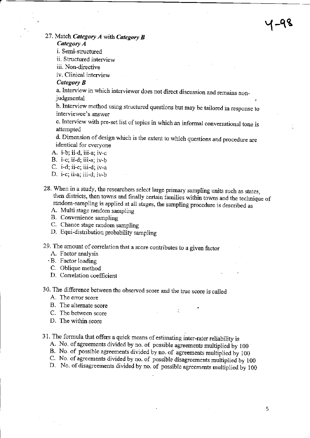Y-qs

## 27. Match Category  $A$  with Category  $B$

Category A

i. Semi-structured

ii. Structured interview

iii. Non-directive

iv. Clinical interview

#### Category **B**

a. Interview in which interviewer does not direct discussion and remains non\_ judgmental

b. Interview method using structured questions but may be tailored in response to interviewee's answer

c. Interview with pre-set list of topics in which an informal conversational tone is attempted

d. Dimension of design which is the extent to which questions and procedure are identical for everyone

- A. i-b; ii-d, iii-a; iv-c
- B. i-c; ii-d; iii-a; iv-b
- C. i-d; ii-c; iii-d; iv-a
- D. i-c; ii-a; iii-d; iv-b
- 28. When in a study, the researchers select large primary sampling units such as states, then districts, then towns and finally certain families within towns and the technique of random-sampling is applied at all stages, the sampling procedure is described as A. Multi stage random sampling
	-
	- B. Convenience sampling
	- C. Chance stage random sampling
	- D. Equi-distribution probability sampling

29. The amount of correlation that a score contributes to a given factor A. Factor analysis

- 
- . B. Factor Ioading
- C. Oblique method
- D. Correlation coefficient
- 30. The difference between the obsened score and the true score is called
	- A. The error score
	- B. The alternate score .
	- C. The between score
	- D. The within score
- -
	-
	-
- 31. The formula that offers a quick means of estimating inter-rater reliability is<br>A. No. of agreements divided by no. of possible agreements multiplied by 100<br>B. No. of possible agreements divided by no. of agreements mu

5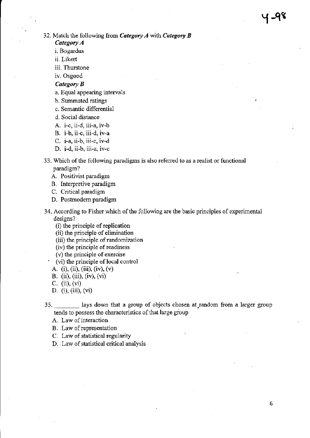- Category A
- i. Bogardus
- ii. Likert
- iii. Thurstone

iv. Osgood

#### Category B

- a. Equal appearing intervals
- b. Summated ratings
- c. Semantic differential
- d. Social distance
- A. i-c, ii-d, iii-a, iv-b
- B. i-b, ii-c, iii-d, iv-a
- C. i-a, ii-b, iii-c, iv-d
- D. i-d, ii-b, iii-a, iv-c
- 33. Which of the following paradigms is also referred to as a realist or functional paradigm?
	- A. Positivist paradigm
	- B. Interpretive paradigm
	- C. Critical paradigm
	- D. Postmodern paradigm
- 34. According to Fisher which of the following are the basic principles of experimental designs?
	- (i) the principle of replication
	- (ii) the principle of elimination
	- (iii) the principle of randomization
	- (iv) the principle of readiness
	-
	- (v) the principle of exercise  $(vi)$  the principle of local control
	- A. (i), (ii), (iii), (iv), (v)
	- B. (ii), (iii), (iv), (vi)
	- c. (ii), (vi)
	- D. (i), (iii), (vi)

35. \_ Iays down that a group of objects chosen at.random from a larger group tends to possess the characteristics of that large group

A. Law of interaction

- B. Law of representation
- C. Law of statistical regularity
- D. Law of statistical critical analysis

y qe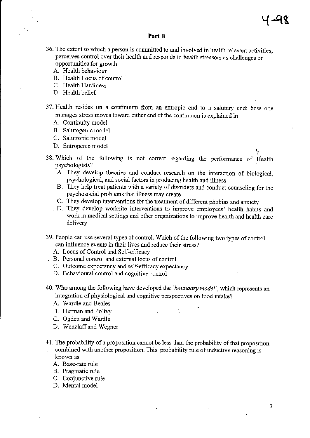#### Part B

- 36. The extent to which a person is committed to and involved in health relevant activities, perceives control over their health and responds to health stressors as challenges or opportunities for growth
	- A. Health behaviour
	- B. Health Locus of control
	- C. Health Hardiness
	- D. Health belief
- 37. Health resides on a continuum from an entropic end to a salutary end; how one manages stress moves toward either end of the continuum is explained in
	- A, Continuity model
	- B. Salutogenic model
	- C. Salutropic model
	- D. Entropenic model
- 38. Which of the following is not correct regarding the performance of Health psychologists:
	- A. They develop theories and conduct research on the interaction of biological, psychological, and social factors in producing health ard illness
	- B. They help teat patients with a variety of disorders and conduct counseling for the psychosocial problems that illness may create
	- C. They develop interventions for the teatinent of different phobias and anxiety
	- D. They develop worksite interventions to improve employees' health habits and work in medical settings and other organizations to improve health and health care delivery
- 39. People can use several types of control. Which of the following two types of control can influence events in their lives and reduce their stress?
	- A. Locus of Control and Self-efhcacy
- . B. Personal control and external locus of control
	- C. Oulcome expectancy and self-efficacy expectancy
	- D. Behavioural control and cognitive contol
- 40. Who among the following have developed the 'boundary model', which represents an integration of physiological and cognitive perspectives on food intake?
	- A. Wardle and Beales
	- B. Herman and Polivy
	- C. Ogden and Wardle
	- D. Wenzlaffand Wegner
- 41. The probability of a proposition cannot be less than the probability of that proposition combined with another proposition. This probability rule of inductive reasoning is known as
	- A. Base-rate rule
	- B. Pragmatic rule
	- C. Conjunctive rule
	- D. Mental model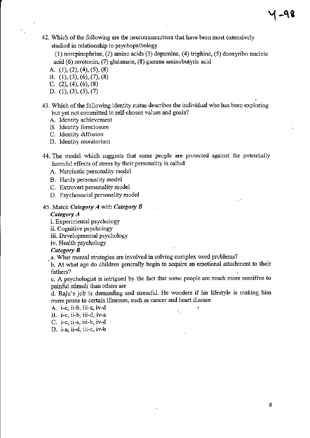42. Which of the following are the neurotransmitters that have been most extensively studied in relationship to psychopathology

 $(1)$  norepinephrine,  $(2)$  amino acids  $(3)$  dopamine,  $(4)$  trephine,  $(5)$  deoxyribo nucleic acid (6) serotonin, (7) glutamate, (8) gamma aminobutyric acid

- A.  $(1)$ ,  $(2)$ ,  $(4)$ ,  $(5)$ ,  $(8)$
- B. (1), (3), (6), (7), (8)
- C.  $(2)$ ,  $(4)$ ,  $(6)$ ,  $(8)$
- D. (1), (3), (5), (7)
- 43. Which of the following identity status describes the individual who has been exploring but yet not committed to self-chosen values and goals?
	- A. Identity achievement
	- B. Identity foreclosue

C. ldemity diffusion

- D. Identity moratorium
- 44. The model which suggests that some people are prctected against the potentially harmful effects of stress by their personality is called
	- A. Narcisstic personality model
	- B. Hardy personality model
	- C. Extrovert personality model
	- D. Psychosocial personality model

#### 45. Match Category  $A$  with Category  $B$

#### Category A

i. Experimental psychology

ii. Cognitive psychology

iii. Developmental psychology

iv. Health psychology

#### Category R

a. What mental strategies are involved in solving complex word problems?

b. At what age do children generally begin to acquire an emotional attachment to their fathers?

c. A psychologist is intrigued by the fact that some people are much more sensitive to painful stimuli than others are

d- Raju's job is demanding and stressful. He wonders if his lifestyle is making him morc prone to cetain illnesses, such as cancer and heart disease

- A. i-c, ii-b, iii-a, iv-d
- B. i-c, ii-b, iii-d, iv-a

C. i-c, ii-a, iii-b, iv-d

D. i-a, ii-d, iii-c, iv-b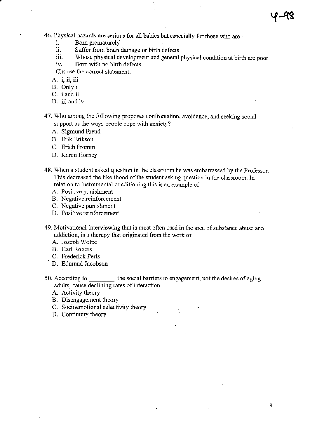46. Physical hazards are serious for all babies but especially for those who are<br>i. Born prematurely<br>ii. Suffer from brain damage or birth defects

- 
- ii. Suffer from brain damage or birth defects<br>iii. Whose physical development and general
- iii. Whose physical development and general physical condition at birth are poor iv. Bom witl no birth defects

- Choose the conect statement.
- A. i, ii, iii
- B. Only i
- C. i and ii
- D. iii and iv

47. Who among the following proposes confrontation, avoidance, and seeking social support as the ways people cope with anxiety?

- A. Sigmund Freud
- B. Erik Erikson

C. Erich Fromm

- D. Karen Homey
- 48. When a student asked question in the classroom he was embarrassed by the Professor. This decreased the likelihood of the student asking question in the classroom. In relation to instrumental conditioning this is an example of
	- A. Positive punishment
	- B. Negative reinforcement
	- C. Negative punishment
	- D. Positive reinforcement
- 49. Motivational interviewing that is most often used in the area of substance abuse and addiction, is a therapy that originated from the work of
	- A. Joseph Wolpe
	-
	- B. Carl Rogers
	- D. Edmund Jacobson
- 50. According to **the social barriers** to engagement, not the desires of aging adults, cause declining rates of interaction
	- A. Activity theory
	- B. Disengagement theory
	- B. Disengagement theory<br>C. Socioemotional selectivity theory
	- D. Continuity theory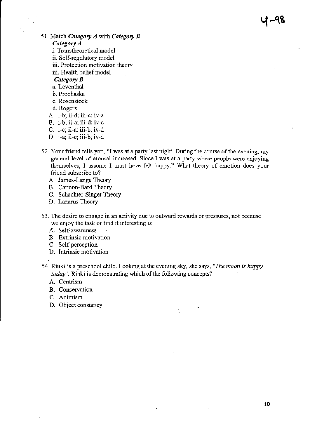$4 - 98$ 

- 51. Match Category  $A$  with Category  $B$ Category A
	- i. Transtheoretical model
	- ii. Self-regulatory model
	- iii. Protection motivation theory
	- iii. Health belief model
	- Category **B**
	- a. Leventhal
	- b- Prochaska
	- c. Rosenstock
	- d. Rogers
	- A. i-b; ii-d; iii-c; iv-a
	- B. i-b; ii-a; iii-d; iv-c
	- C. i-c; ii-a; iii-b; iv-d
	- D. i-a; ii-c; iii-b; iv-d
- 52. Your friend tells you, "I was at a party last night. During the course of the evening, my general level of arousal increased. Since I was at a party where people were enjoying themselves, I assume I must have felt happy." What theory of emotion does your friend subscribe to?
	- A. James-Lange Theory
	- B. Cannon-Bard Theory
	- C. Schachter-Singer Theory
	- D. Lazarus Theory
- 53. The desire to engage in an activity due to outward rewards or pressures, not because we enjoy the task or find it interesting is
	- A. Self-awareness
	- B. Extrinsic motivation
	- C. Self-perception
	- D. Intrinsic motivation
- 54. Rinki is a preschool child. Looking at the evening sky, she says, "The moon is happy today". Rinki is demonstrating which of the following concepts?
	- A, Centrism
	- B. Conservation
	- C. Animism
	- D. Object constancy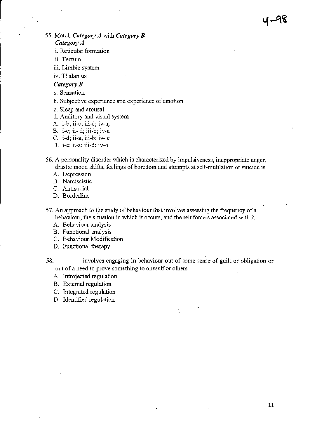55. Match Category  $A$  with Category  $B$ 

Category A

i. Reticular formation

ii. Tectum

iii. Limbic system

iv. Thalanus

### Category B

- a. Sensation
- b. Subjective experience and experience of emotion
- c. Sleep and arcusal
- d. Auditory and visual system
- A. i-b; ii-c; iii-d; iv-a;
- B. i-c; ii- d; iii-b; iv'a
- C. i-d; ii-a; iii-b; iv- c
- D. i-c; ii-a: iii-d; iv-b

56. A personality disorder which is characterized by impulsiveness, inappropriate anger, drastic mood shifts, feelings of boredom and attempts at self-mutilation or suicide is

A. Depression

- B. Narcissistic
- C. Antisocial
- D. Borderline
- 57. An approach to the study of behaviour that involves assessing the frequency of a behaviour, the situation in which it occurs, and the reinforcers associated with it
	- A. Behaviour analysis
	- B. Functional analysis
	- C. Behaviour Modification
	- D. Functional therapy

58. <u>Illustractive</u> involves engaging in behaviour out of some sense of guilt or obligation or out of a need to prove something to oneself or others

÷.

- A. Introjected regulation
- B. External regulation
- C. Integrated regulation
- D. Identified regulation

 $4 - 98$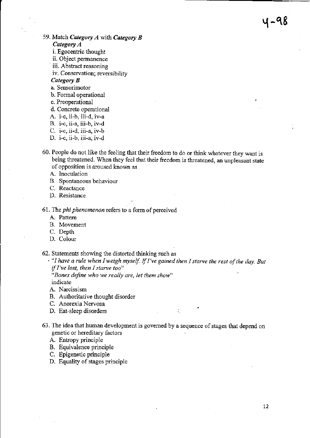- 59. Match Category  $A$  with Category  $B$ Category A
	- i. Egocentric thought
	- ii. Object permanence
	- iii. Abstract reasoning
	- iv. Conservation; reversibility

#### Category B

- a. Sensorimotor
- b. Formal operational
- c. Preoperational
- d. Concrete operational
- A. i-c, ii-b, iii-d, iv-a
- B. i-c, ii-a, iii-b, iv-d
- C. i-c, ii-d, iii-a,  $iv-b$
- D. i-c, ii-b, iii-a, iv-d
- 60. People do not like the feeling that their freedom to do or think whatever they want is being threatened. When they feel that their freedom is threatened, an unpleasant state of opposition is aroused known as
	- A. Inoculation
	- B. Spontaneous behaviour
	- C. Reactance
	- D. Resistance
- 61. The *phi phenomenon* refers to a form of perceived
	- A. Pattem
	- B. Movement
	- C. Depth
	- D. Colour

62. Statements showing the distorted thinking such as

 $\cdot$  "I have a rule when I weigh myself. If I've gained then I starve the rest of the day. But if I've lost, then I starve too"

"Bones define who we really are, let them show" indicate

- A. Narcissism
- B. Authoritative thought disorder
- C. Anorexia Nervosa
- D. Eat-sleep disorders : the state of the state of the state of the state of the state of the state of the state of the state of the state of the state of the state of the state of the state of the state of the state of th
- 63 . The idea that human development is govemed by a sequence of stages fiat depend on genetic or hereditary lactors
	- A. Entopy principle
	- B. Equivalence principle
	- C. Epigenetic principle
	- D. Equality of stages principle

५-98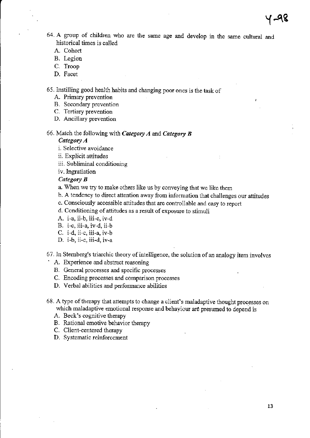,

- 64. A group of children who are the same age and develop in the same cultural and historical times is called
	- A. Cohort
	- B. Legion
	- C, Troop
	- D. Facet

65. Instilling good health habits and changing poor ones is the task of

- A. Primary prevention
- B. Secondary prevention
- C. Tertiary prevention
- D. Ancillary prevention
- 66. Match the following with Category A and Category B

## Category A

- i. Selective avoidance
- ii. Explicit attitudes
- iii. Subliminal conditionine
- iv. Ingratiation

## Category B

- a. When we try to make others like us by conveying that we like them
- b. A tendency to direct attention away ftom information that challenges our attitudes
- c. Consciously accessible attitudes that are controllable and easy to report
- d. Conditioning of attitudes as a result of exposure to stimuli
- A. i-a, ii-b, iii-c, iv-d
- B. i-c, iii-a, iv-d, ii-b
- C. i-d, ii-c. iii-a. iv-b
- D. i-b, ii-c, iii-d, iv-a

67. In Sternberg's triarchic theory of intelligence, the solution of an analogy item involves  $\cdot$  A. Experience and abstract reasoning

- 
- B. General processes and specific processes
- C. Encoding processes and comparison processes
- D. Verbal abilities and performance abilities
- 68. A type of therapy that attempts to change a client's maladaptive thought processes on which maladaptive emotional response and behaviour are presumed to depend is
	- A. Beck's cognitive therapy
	- B. Rational emotive behavior therapy
	- C. Client-centered therapy
	- D. Systematic reinforcement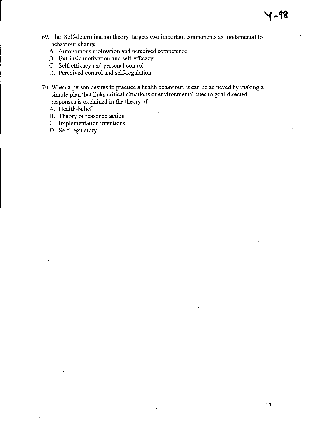- 69. The Self-determination theory targets two important components as fundamental to behaviour change
	- A. Autonomous motivation and perceived competence
	- B. Extrinsic motivation and self-efficacy
	- C. Self-efficacy and personal control
	- D. Perceived control and self-regulation

70. when a person desires to practice a health behaviow, it can be achieved by making a simple plan that links critical situations or environmental cues to goal-directed responses is explained in the theory of

- A. Health-belief
- B. Theory of reasoned action
- C. lmplementation intentions
- D. Self-regulatory

Y-ffi